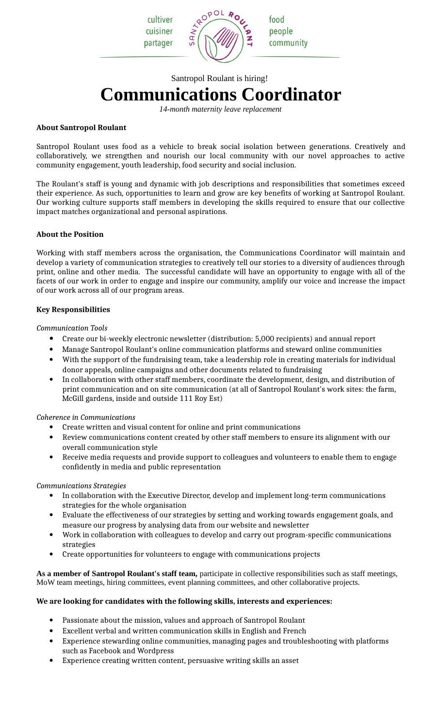cultiver cuisiner partager

SAN



food people community

# Santropol Roulant is hiring! **Communications Coordinator**

*14-month maternity leave replacement*

# **About Santropol Roulant**

Santropol Roulant uses food as a vehicle to break social isolation between generations. Creatively and collaboratively, we strengthen and nourish our local community with our novel approaches to active community engagement, youth leadership, food security and social inclusion.

The Roulant's staff is young and dynamic with job descriptions and responsibilities that sometimes exceed their experience. As such, opportunities to learn and grow are key benefits of working at Santropol Roulant. Our working culture supports staff members in developing the skills required to ensure that our collective impact matches organizational and personal aspirations.

# **About the Position**

Working with staff members across the organisation, the Communications Coordinator will maintain and develop a variety of communication strategies to creatively tell our stories to a diversity of audiences through print, online and other media. The successful candidate will have an opportunity to engage with all of the facets of our work in order to engage and inspire our community, amplify our voice and increase the impact of our work across all of our program areas.

# **Key Responsibilities**

#### *Communication Tools*

- Create our bi-weekly electronic newsletter (distribution: 5,000 recipients) and annual report
- Manage Santropol Roulant's online communication platforms and steward online communities
- With the support of the fundraising team, take a leadership role in creating materials for individual donor appeals, online campaigns and other documents related to fundraising
- In collaboration with other staff members, coordinate the development, design, and distribution of print communication and on site communication (at all of Santropol Roulant's work sites: the farm, McGill gardens, inside and outside 111 Roy Est)

# *Coherence in Communications*

- Create written and visual content for online and print communications
- Review communications content created by other staff members to ensure its alignment with our overall communication style
- Receive media requests and provide support to colleagues and volunteers to enable them to engage confidently in media and public representation

#### *Communications Strategies*

- In collaboration with the Executive Director, develop and implement long-term communications strategies for the whole organisation
- Evaluate the effectiveness of our strategies by setting and working towards engagement goals, and measure our progress by analysing data from our website and newsletter
- Work in collaboration with colleagues to develop and carry out program-specific communications strategies
- Create opportunities for volunteers to engage with communications projects

**As a member of Santropol Roulant's staff team,** participate in collective responsibilities such as staff meetings, MoW team meetings, hiring committees, event planning committees, and other collaborative projects.

# **We are looking for candidates with the following skills, interests and experiences:**

- Passionate about the mission, values and approach of Santropol Roulant
- Excellent verbal and written communication skills in English and French
- Experience stewarding online communities, managing pages and troubleshooting with platforms such as Facebook and Wordpress
- Experience creating written content, persuasive writing skills an asset